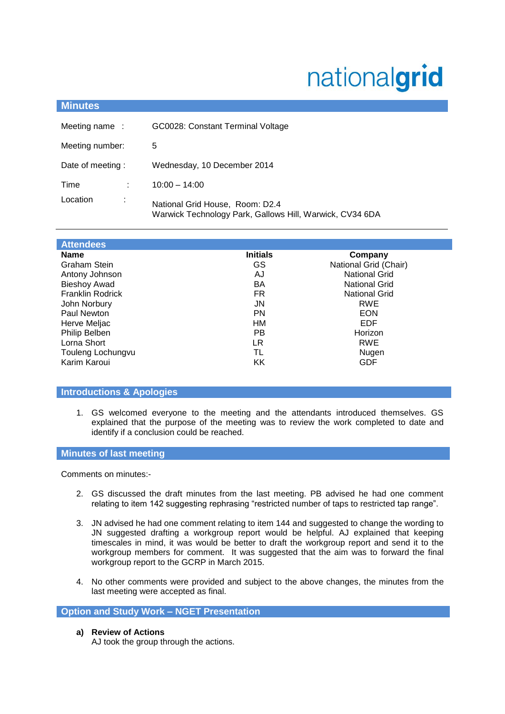# nationalgrid

| <b>Minutes</b>           |                                                                                             |  |
|--------------------------|---------------------------------------------------------------------------------------------|--|
| Meeting name:            | GC0028: Constant Terminal Voltage                                                           |  |
| Meeting number:          | 5                                                                                           |  |
| Date of meeting:         | Wednesday, 10 December 2014                                                                 |  |
| Time<br>÷                | $10:00 - 14:00$                                                                             |  |
| Location<br>$\mathbf{r}$ | National Grid House, Room: D2.4<br>Warwick Technology Park, Gallows Hill, Warwick, CV34 6DA |  |

| <b>Attendees</b>        |                 |                       |
|-------------------------|-----------------|-----------------------|
| <b>Name</b>             | <b>Initials</b> | Company               |
| Graham Stein            | GS              | National Grid (Chair) |
| Antony Johnson          | AJ              | <b>National Grid</b>  |
| <b>Bieshoy Awad</b>     | BA              | <b>National Grid</b>  |
| <b>Franklin Rodrick</b> | FR              | <b>National Grid</b>  |
| John Norbury            | JN              | <b>RWE</b>            |
| Paul Newton             | PN              | <b>EON</b>            |
| Herve Meljac            | HМ              | EDF                   |
| Philip Belben           | PB              | Horizon               |
| Lorna Short             | LR              | <b>RWE</b>            |
| Touleng Lochungvu       | TL              | Nugen                 |
| Karim Karoui            | KK              | <b>GDF</b>            |

# **Introductions & Apologies**

1. GS welcomed everyone to the meeting and the attendants introduced themselves. GS explained that the purpose of the meeting was to review the work completed to date and identify if a conclusion could be reached.

# **Minutes of last meeting**

Comments on minutes:-

- 2. GS discussed the draft minutes from the last meeting. PB advised he had one comment relating to item 142 suggesting rephrasing "restricted number of taps to restricted tap range".
- 3. JN advised he had one comment relating to item 144 and suggested to change the wording to JN suggested drafting a workgroup report would be helpful. AJ explained that keeping timescales in mind, it was would be better to draft the workgroup report and send it to the workgroup members for comment. It was suggested that the aim was to forward the final workgroup report to the GCRP in March 2015.
- 4. No other comments were provided and subject to the above changes, the minutes from the last meeting were accepted as final.

# **Option and Study Work – NGET Presentation**

**a) Review of Actions**

AJ took the group through the actions.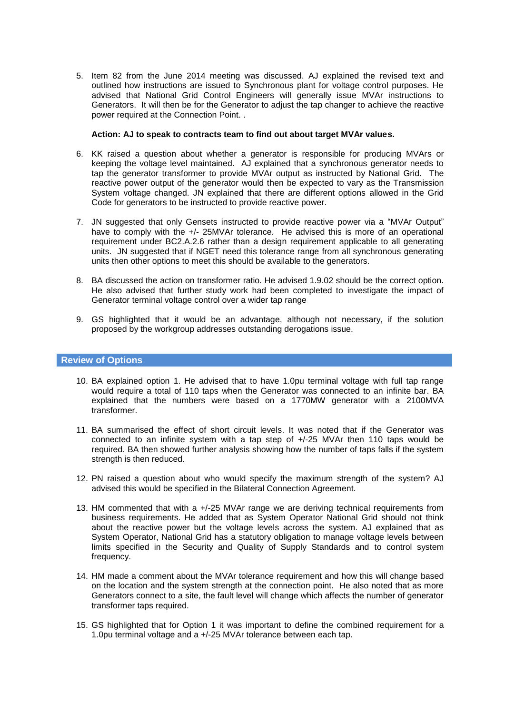5. Item 82 from the June 2014 meeting was discussed. AJ explained the revised text and outlined how instructions are issued to Synchronous plant for voltage control purposes. He advised that National Grid Control Engineers will generally issue MVAr instructions to Generators. It will then be for the Generator to adjust the tap changer to achieve the reactive power required at the Connection Point. .

#### **Action: AJ to speak to contracts team to find out about target MVAr values.**

- 6. KK raised a question about whether a generator is responsible for producing MVArs or keeping the voltage level maintained. AJ explained that a synchronous generator needs to tap the generator transformer to provide MVAr output as instructed by National Grid. The reactive power output of the generator would then be expected to vary as the Transmission System voltage changed. JN explained that there are different options allowed in the Grid Code for generators to be instructed to provide reactive power.
- 7. JN suggested that only Gensets instructed to provide reactive power via a "MVAr Output" have to comply with the +/- 25MVAr tolerance. He advised this is more of an operational requirement under BC2.A.2.6 rather than a design requirement applicable to all generating units. JN suggested that if NGET need this tolerance range from all synchronous generating units then other options to meet this should be available to the generators.
- 8. BA discussed the action on transformer ratio. He advised 1.9.02 should be the correct option. He also advised that further study work had been completed to investigate the impact of Generator terminal voltage control over a wider tap range
- 9. GS highlighted that it would be an advantage, although not necessary, if the solution proposed by the workgroup addresses outstanding derogations issue.

#### **Review of Options**

- 10. BA explained option 1. He advised that to have 1.0pu terminal voltage with full tap range would require a total of 110 taps when the Generator was connected to an infinite bar. BA explained that the numbers were based on a 1770MW generator with a 2100MVA transformer.
- 11. BA summarised the effect of short circuit levels. It was noted that if the Generator was connected to an infinite system with a tap step of +/-25 MVAr then 110 taps would be required. BA then showed further analysis showing how the number of taps falls if the system strength is then reduced.
- 12. PN raised a question about who would specify the maximum strength of the system? AJ advised this would be specified in the Bilateral Connection Agreement.
- 13. HM commented that with a +/-25 MVAr range we are deriving technical requirements from business requirements. He added that as System Operator National Grid should not think about the reactive power but the voltage levels across the system. AJ explained that as System Operator, National Grid has a statutory obligation to manage voltage levels between limits specified in the Security and Quality of Supply Standards and to control system frequency.
- 14. HM made a comment about the MVAr tolerance requirement and how this will change based on the location and the system strength at the connection point. He also noted that as more Generators connect to a site, the fault level will change which affects the number of generator transformer taps required.
- 15. GS highlighted that for Option 1 it was important to define the combined requirement for a 1.0pu terminal voltage and a +/-25 MVAr tolerance between each tap.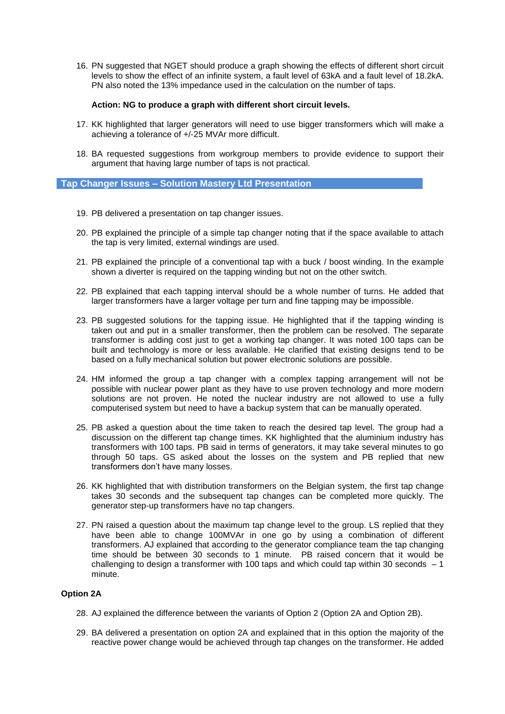16. PN suggested that NGET should produce a graph showing the effects of different short circuit levels to show the effect of an infinite system, a fault level of 63kA and a fault level of 18.2kA. PN also noted the 13% impedance used in the calculation on the number of taps.

#### **Action: NG to produce a graph with different short circuit levels.**

- 17. KK highlighted that larger generators will need to use bigger transformers which will make a achieving a tolerance of +/-25 MVAr more difficult.
- 18. BA requested suggestions from workgroup members to provide evidence to support their argument that having large number of taps is not practical.

#### **Tap Changer Issues – Solution Mastery Ltd Presentation**

- 19. PB delivered a presentation on tap changer issues.
- 20. PB explained the principle of a simple tap changer noting that if the space available to attach the tap is very limited, external windings are used.
- 21. PB explained the principle of a conventional tap with a buck / boost winding. In the example shown a diverter is required on the tapping winding but not on the other switch.
- 22. PB explained that each tapping interval should be a whole number of turns. He added that larger transformers have a larger voltage per turn and fine tapping may be impossible.
- 23. PB suggested solutions for the tapping issue. He highlighted that if the tapping winding is taken out and put in a smaller transformer, then the problem can be resolved. The separate transformer is adding cost just to get a working tap changer. It was noted 100 taps can be built and technology is more or less available. He clarified that existing designs tend to be based on a fully mechanical solution but power electronic solutions are possible.
- 24. HM informed the group a tap changer with a complex tapping arrangement will not be possible with nuclear power plant as they have to use proven technology and more modern solutions are not proven. He noted the nuclear industry are not allowed to use a fully computerised system but need to have a backup system that can be manually operated.
- 25. PB asked a question about the time taken to reach the desired tap level. The group had a discussion on the different tap change times. KK highlighted that the aluminium industry has transformers with 100 taps. PB said in terms of generators, it may take several minutes to go through 50 taps. GS asked about the losses on the system and PB replied that new transformers don't have many losses.
- 26. KK highlighted that with distribution transformers on the Belgian system, the first tap change takes 30 seconds and the subsequent tap changes can be completed more quickly. The generator step-up transformers have no tap changers.
- 27. PN raised a question about the maximum tap change level to the group. LS replied that they have been able to change 100MVAr in one go by using a combination of different transformers. AJ explained that according to the generator compliance team the tap changing time should be between 30 seconds to 1 minute. PB raised concern that it would be challenging to design a transformer with 100 taps and which could tap within 30 seconds  $-1$ minute.

# **Option 2A**

- 28. AJ explained the difference between the variants of Option 2 (Option 2A and Option 2B).
- 29. BA delivered a presentation on option 2A and explained that in this option the majority of the reactive power change would be achieved through tap changes on the transformer. He added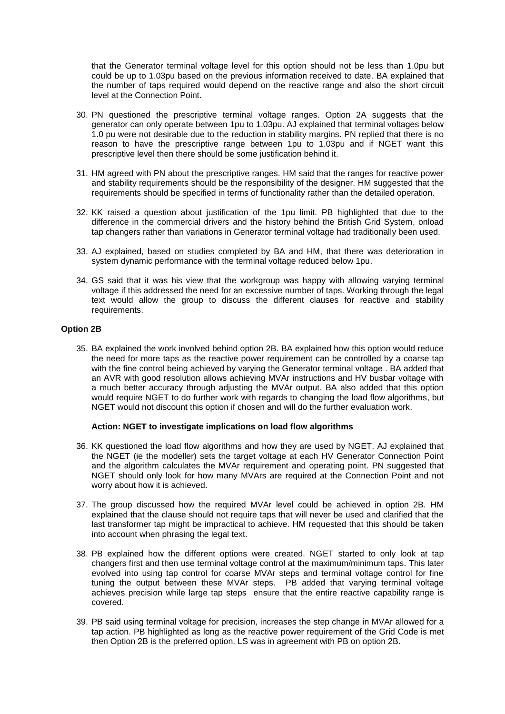that the Generator terminal voltage level for this option should not be less than 1.0pu but could be up to 1.03pu based on the previous information received to date. BA explained that the number of taps required would depend on the reactive range and also the short circuit level at the Connection Point.

- 30. PN questioned the prescriptive terminal voltage ranges. Option 2A suggests that the generator can only operate between 1pu to 1.03pu. AJ explained that terminal voltages below 1.0 pu were not desirable due to the reduction in stability margins. PN replied that there is no reason to have the prescriptive range between 1pu to 1.03pu and if NGET want this prescriptive level then there should be some justification behind it.
- 31. HM agreed with PN about the prescriptive ranges. HM said that the ranges for reactive power and stability requirements should be the responsibility of the designer. HM suggested that the requirements should be specified in terms of functionality rather than the detailed operation.
- 32. KK raised a question about justification of the 1pu limit. PB highlighted that due to the difference in the commercial drivers and the history behind the British Grid System, onload tap changers rather than variations in Generator terminal voltage had traditionally been used.
- 33. AJ explained, based on studies completed by BA and HM, that there was deterioration in system dynamic performance with the terminal voltage reduced below 1pu.
- 34. GS said that it was his view that the workgroup was happy with allowing varying terminal voltage if this addressed the need for an excessive number of taps. Working through the legal text would allow the group to discuss the different clauses for reactive and stability requirements.

# **Option 2B**

35. BA explained the work involved behind option 2B. BA explained how this option would reduce the need for more taps as the reactive power requirement can be controlled by a coarse tap with the fine control being achieved by varying the Generator terminal voltage . BA added that an AVR with good resolution allows achieving MVAr instructions and HV busbar voltage with a much better accuracy through adjusting the MVAr output. BA also added that this option would require NGET to do further work with regards to changing the load flow algorithms, but NGET would not discount this option if chosen and will do the further evaluation work.

#### **Action: NGET to investigate implications on load flow algorithms**

- 36. KK questioned the load flow algorithms and how they are used by NGET. AJ explained that the NGET (ie the modeller) sets the target voltage at each HV Generator Connection Point and the algorithm calculates the MVAr requirement and operating point. PN suggested that NGET should only look for how many MVArs are required at the Connection Point and not worry about how it is achieved.
- 37. The group discussed how the required MVAr level could be achieved in option 2B. HM explained that the clause should not require taps that will never be used and clarified that the last transformer tap might be impractical to achieve. HM requested that this should be taken into account when phrasing the legal text.
- 38. PB explained how the different options were created. NGET started to only look at tap changers first and then use terminal voltage control at the maximum/minimum taps. This later evolved into using tap control for coarse MVAr steps and terminal voltage control for fine tuning the output between these MVAr steps. PB added that varying terminal voltage achieves precision while large tap steps ensure that the entire reactive capability range is covered.
- 39. PB said using terminal voltage for precision, increases the step change in MVAr allowed for a tap action. PB highlighted as long as the reactive power requirement of the Grid Code is met then Option 2B is the preferred option. LS was in agreement with PB on option 2B.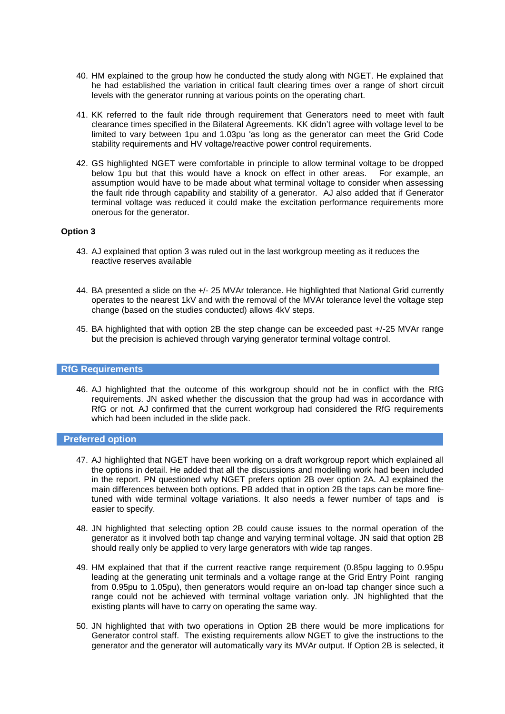- 40. HM explained to the group how he conducted the study along with NGET. He explained that he had established the variation in critical fault clearing times over a range of short circuit levels with the generator running at various points on the operating chart.
- 41. KK referred to the fault ride through requirement that Generators need to meet with fault clearance times specified in the Bilateral Agreements. KK didn't agree with voltage level to be limited to vary between 1pu and 1.03pu 'as long as the generator can meet the Grid Code stability requirements and HV voltage/reactive power control requirements.
- 42. GS highlighted NGET were comfortable in principle to allow terminal voltage to be dropped below 1pu but that this would have a knock on effect in other areas. For example, an assumption would have to be made about what terminal voltage to consider when assessing the fault ride through capability and stability of a generator. AJ also added that if Generator terminal voltage was reduced it could make the excitation performance requirements more onerous for the generator.

# **Option 3**

- 43. AJ explained that option 3 was ruled out in the last workgroup meeting as it reduces the reactive reserves available
- 44. BA presented a slide on the +/- 25 MVAr tolerance. He highlighted that National Grid currently operates to the nearest 1kV and with the removal of the MVAr tolerance level the voltage step change (based on the studies conducted) allows 4kV steps.
- 45. BA highlighted that with option 2B the step change can be exceeded past +/-25 MVAr range but the precision is achieved through varying generator terminal voltage control.

#### **RfG Requirements**

46. AJ highlighted that the outcome of this workgroup should not be in conflict with the RfG requirements. JN asked whether the discussion that the group had was in accordance with RfG or not. AJ confirmed that the current workgroup had considered the RfG requirements which had been included in the slide pack.

#### **Preferred option**

- 47. AJ highlighted that NGET have been working on a draft workgroup report which explained all the options in detail. He added that all the discussions and modelling work had been included in the report. PN questioned why NGET prefers option 2B over option 2A. AJ explained the main differences between both options. PB added that in option 2B the taps can be more finetuned with wide terminal voltage variations. It also needs a fewer number of taps and is easier to specify.
- 48. JN highlighted that selecting option 2B could cause issues to the normal operation of the generator as it involved both tap change and varying terminal voltage. JN said that option 2B should really only be applied to very large generators with wide tap ranges.
- 49. HM explained that that if the current reactive range requirement (0.85pu lagging to 0.95pu leading at the generating unit terminals and a voltage range at the Grid Entry Point ranging from 0.95pu to 1.05pu), then generators would require an on-load tap changer since such a range could not be achieved with terminal voltage variation only. JN highlighted that the existing plants will have to carry on operating the same way.
- 50. JN highlighted that with two operations in Option 2B there would be more implications for Generator control staff. The existing requirements allow NGET to give the instructions to the generator and the generator will automatically vary its MVAr output. If Option 2B is selected, it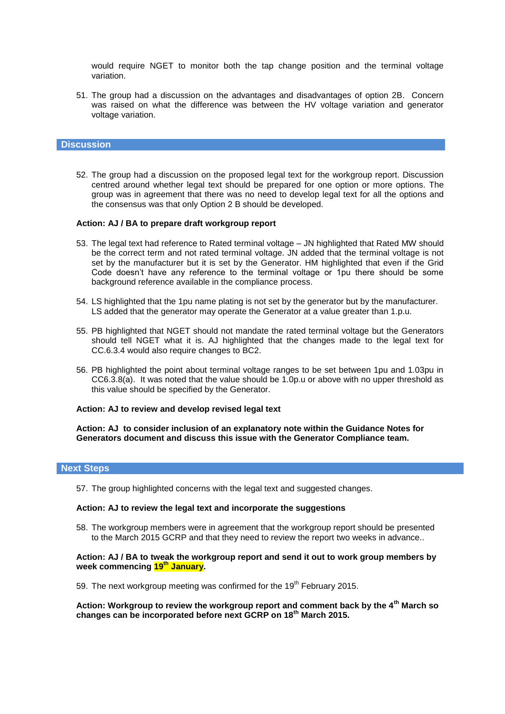would require NGET to monitor both the tap change position and the terminal voltage variation.

51. The group had a discussion on the advantages and disadvantages of option 2B. Concern was raised on what the difference was between the HV voltage variation and generator voltage variation.

#### **Discussion**

52. The group had a discussion on the proposed legal text for the workgroup report. Discussion centred around whether legal text should be prepared for one option or more options. The group was in agreement that there was no need to develop legal text for all the options and the consensus was that only Option 2 B should be developed.

#### **Action: AJ / BA to prepare draft workgroup report**

- 53. The legal text had reference to Rated terminal voltage JN highlighted that Rated MW should be the correct term and not rated terminal voltage. JN added that the terminal voltage is not set by the manufacturer but it is set by the Generator. HM highlighted that even if the Grid Code doesn't have any reference to the terminal voltage or 1pu there should be some background reference available in the compliance process.
- 54. LS highlighted that the 1pu name plating is not set by the generator but by the manufacturer. LS added that the generator may operate the Generator at a value greater than 1.p.u.
- 55. PB highlighted that NGET should not mandate the rated terminal voltage but the Generators should tell NGET what it is. AJ highlighted that the changes made to the legal text for CC.6.3.4 would also require changes to BC2.
- 56. PB highlighted the point about terminal voltage ranges to be set between 1pu and 1.03pu in CC6.3.8(a). It was noted that the value should be 1.0p.u or above with no upper threshold as this value should be specified by the Generator.

#### **Action: AJ to review and develop revised legal text**

**Action: AJ to consider inclusion of an explanatory note within the Guidance Notes for Generators document and discuss this issue with the Generator Compliance team.**

# **Next Steps**

57. The group highlighted concerns with the legal text and suggested changes.

#### **Action: AJ to review the legal text and incorporate the suggestions**

58. The workgroup members were in agreement that the workgroup report should be presented to the March 2015 GCRP and that they need to review the report two weeks in advance..

#### **Action: AJ / BA to tweak the workgroup report and send it out to work group members by week commencing 19th January.**

59. The next workgroup meeting was confirmed for the 19<sup>th</sup> February 2015.

**Action: Workgroup to review the workgroup report and comment back by the 4th March so changes can be incorporated before next GCRP on 18th March 2015.**